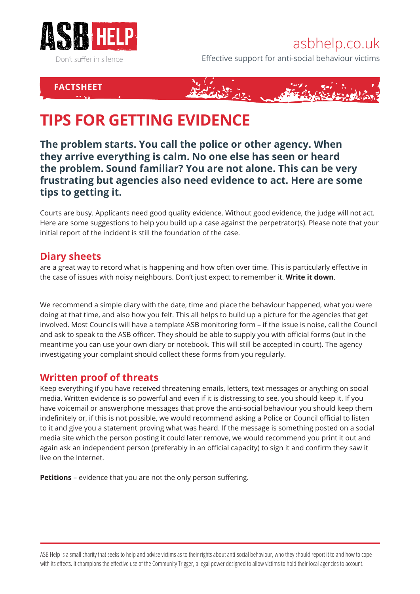

## asbhelp.co.uk

Effective support for anti-social behaviour victims

## **FACTSHEET**



# **TIPS FOR GETTING EVIDENCE**

**The problem starts. You call the police or other agency. When they arrive everything is calm. No one else has seen or heard the problem. Sound familiar? You are not alone. This can be very frustrating but agencies also need evidence to act. Here are some tips to getting it.**

Courts are busy. Applicants need good quality evidence. Without good evidence, the judge will not act. Here are some suggestions to help you build up a case against the perpetrator(s). Please note that your initial report of the incident is still the foundation of the case.

#### **Diary sheets**

are a great way to record what is happening and how often over time. This is particularly effective in the case of issues with noisy neighbours. Don't just expect to remember it. **Write it down**.

We recommend a simple diary with the date, time and place the behaviour happened, what you were doing at that time, and also how you felt. This all helps to build up a picture for the agencies that get involved. Most Councils will have a template ASB monitoring form – if the issue is noise, call the Council and ask to speak to the ASB officer. They should be able to supply you with official forms (but in the meantime you can use your own diary or notebook. This will still be accepted in court). The agency investigating your complaint should collect these forms from you regularly.

#### **Written proof of threats**

Keep everything if you have received threatening emails, letters, text messages or anything on social media. Written evidence is so powerful and even if it is distressing to see, you should keep it. If you have voicemail or answerphone messages that prove the anti-social behaviour you should keep them indefinitely or, if this is not possible, we would recommend asking a Police or Council official to listen to it and give you a statement proving what was heard. If the message is something posted on a social media site which the person posting it could later remove, we would recommend you print it out and again ask an independent person (preferably in an official capacity) to sign it and confirm they saw it live on the Internet.

**Petitions** – evidence that you are not the only person suffering.

ASB Help is a small charity that seeks to help and advise victims as to their rights about anti-social behaviour, who they should report it to and how to cope with its effects. It champions the effective use of the Community Trigger, a legal power designed to allow victims to hold their local agencies to account.